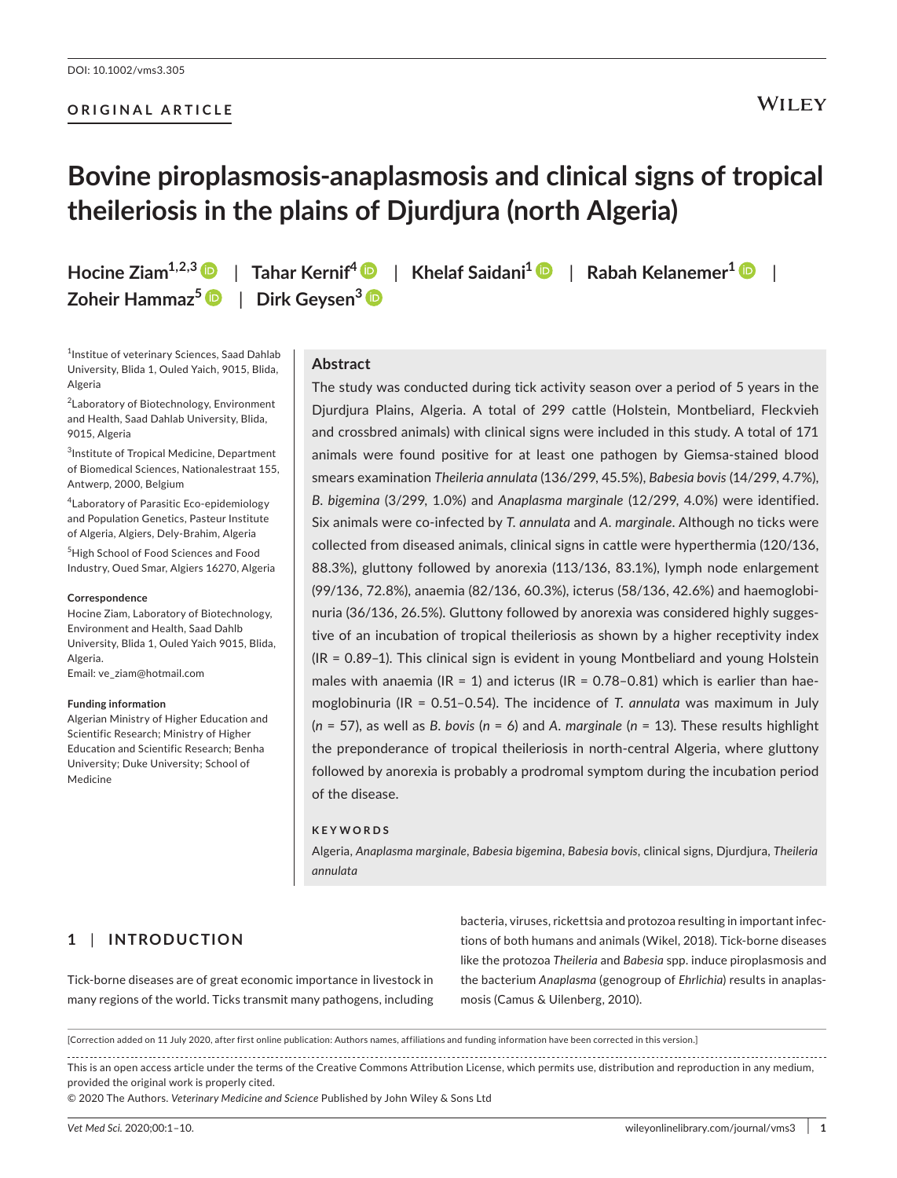## **ORIGINAL ARTICLE**

# **Bovine piroplasmosis-anaplasmosis and clinical signs of tropical theileriosis in the plains of Djurdjura (north Algeria)**

**Hocine Ziam1,2,[3](https://orcid.org/0000-0002-2068-3051)** | **Tahar Kernif[4](https://orcid.org/0000-0001-6585-6705)** | **Khelaf Saidani1** | **Rabah Kelanemer[1](https://orcid.org/0000-0003-1020-0738)** | **Zoheir Hammaz[5](https://orcid.org/0000-0001-7252-2287)** | **Dirk Geysen3**

<sup>1</sup> Institue of veterinary Sciences, Saad Dahlab University, Blida 1, Ouled Yaich, 9015, Blida, Algeria

<sup>2</sup> Laboratory of Biotechnology, Environment and Health, Saad Dahlab University, Blida, 9015, Algeria

3 Institute of Tropical Medicine, Department of Biomedical Sciences, Nationalestraat 155, Antwerp, 2000, Belgium

4 Laboratory of Parasitic Eco-epidemiology and Population Genetics, Pasteur Institute of Algeria, Algiers, Dely-Brahim, Algeria

5 High School of Food Sciences and Food Industry, Oued Smar, Algiers 16270, Algeria

#### **Correspondence**

Hocine Ziam, Laboratory of Biotechnology, Environment and Health, Saad Dahlb University, Blida 1, Ouled Yaich 9015, Blida, Algeria. Email: [ve\\_ziam@hotmail.com](mailto:ve_ziam@hotmail.com)

**Funding information**

Algerian Ministry of Higher Education and Scientific Research; Ministry of Higher Education and Scientific Research; Benha University; Duke University; School of Medicine

# **Abstract**

The study was conducted during tick activity season over a period of 5 years in the Djurdjura Plains, Algeria. A total of 299 cattle (Holstein, Montbeliard, Fleckvieh and crossbred animals) with clinical signs were included in this study. A total of 171 animals were found positive for at least one pathogen by Giemsa-stained blood smears examination *Theileria annulata* (136/299, 45.5%), *Babesia bovis* (14/299, 4.7%), *B. bigemina* (3/299, 1.0%) and *Anaplasma marginale* (12/299, 4.0%) were identified. Six animals were co-infected by *T. annulata* and *A. marginale*. Although no ticks were collected from diseased animals, clinical signs in cattle were hyperthermia (120/136, 88.3%), gluttony followed by anorexia (113/136, 83.1%), lymph node enlargement (99/136, 72.8%), anaemia (82/136, 60.3%), icterus (58/136, 42.6%) and haemoglobinuria (36/136, 26.5%). Gluttony followed by anorexia was considered highly suggestive of an incubation of tropical theileriosis as shown by a higher receptivity index (IR = 0.89–1). This clinical sign is evident in young Montbeliard and young Holstein males with anaemia (IR = 1) and icterus (IR =  $0.78-0.81$ ) which is earlier than haemoglobinuria (IR = 0.51–0.54). The incidence of *T. annulata* was maximum in July (*n* = 57), as well as *B. bovis* (*n* = 6) and *A. marginale* (*n* = 13). These results highlight the preponderance of tropical theileriosis in north-central Algeria, where gluttony followed by anorexia is probably a prodromal symptom during the incubation period of the disease.

#### **KEYWORDS**

Algeria, *Anaplasma marginale*, *Babesia bigemina*, *Babesia bovis*, clinical signs, Djurdjura, *Theileria annulata*

# **1** | **INTRODUCTION**

Tick-borne diseases are of great economic importance in livestock in many regions of the world. Ticks transmit many pathogens, including

bacteria, viruses, rickettsia and protozoa resulting in important infections of both humans and animals (Wikel, 2018). Tick-borne diseases like the protozoa *Theileria* and *Babesia* spp. induce piroplasmosis and the bacterium *Anaplasma* (genogroup of *Ehrlichia*) results in anaplasmosis (Camus & Uilenberg, 2010).

[Correction added on 11 July 2020, after first online publication: Authors names, affiliations and funding information have been corrected in this version.]

This is an open access article under the terms of the [Creative Commons Attribution](http://creativecommons.org/licenses/by/4.0/) License, which permits use, distribution and reproduction in any medium, provided the original work is properly cited.

© 2020 The Authors. *Veterinary Medicine and Science* Published by John Wiley & Sons Ltd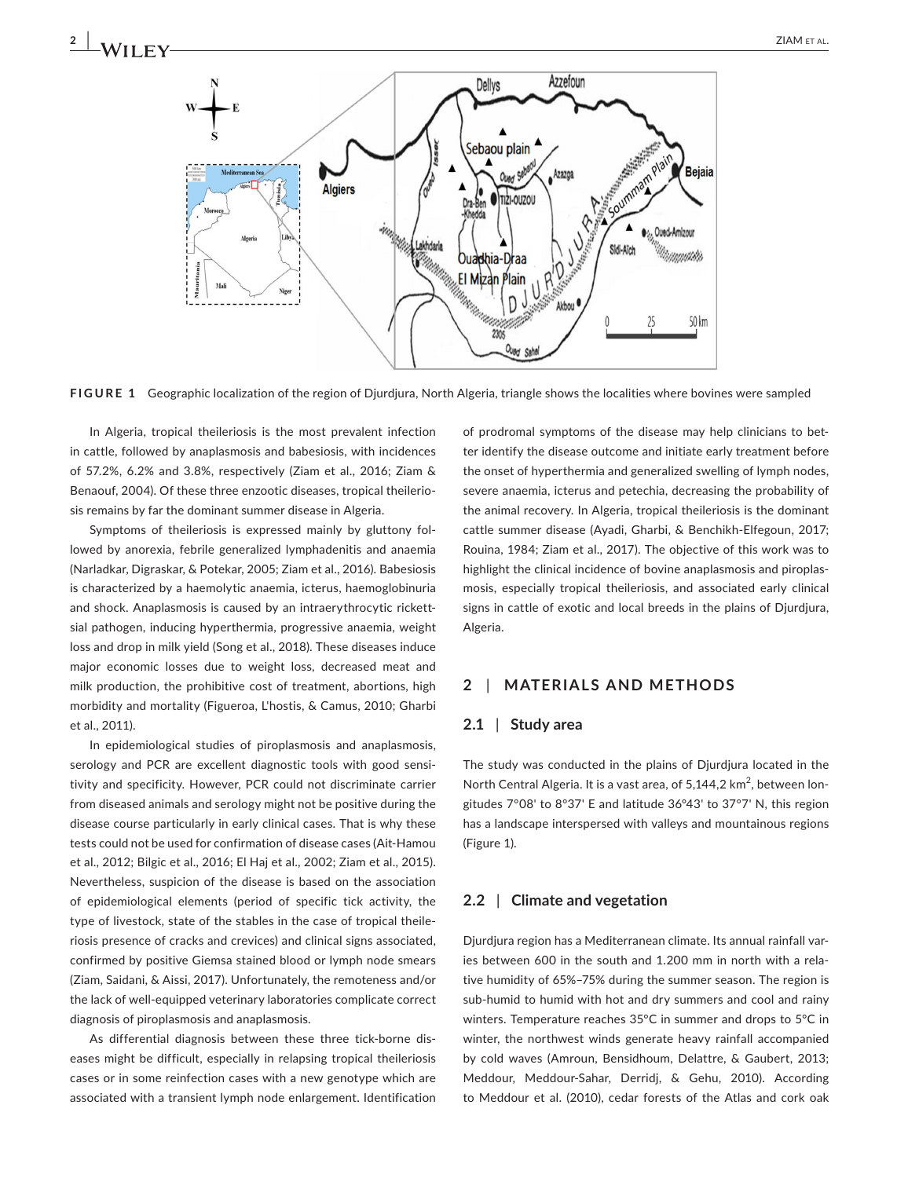

**FIGURE 1** Geographic localization of the region of Djurdjura, North Algeria, triangle shows the localities where bovines were sampled

In Algeria, tropical theileriosis is the most prevalent infection in cattle, followed by anaplasmosis and babesiosis, with incidences of 57.2%, 6.2% and 3.8%, respectively (Ziam et al., 2016; Ziam & Benaouf, 2004). Of these three enzootic diseases, tropical theileriosis remains by far the dominant summer disease in Algeria.

Symptoms of theileriosis is expressed mainly by gluttony followed by anorexia, febrile generalized lymphadenitis and anaemia (Narladkar, Digraskar, & Potekar, 2005; Ziam et al., 2016). Babesiosis is characterized by a haemolytic anaemia, icterus, haemoglobinuria and shock. Anaplasmosis is caused by an intraerythrocytic rickettsial pathogen, inducing hyperthermia, progressive anaemia, weight loss and drop in milk yield (Song et al., 2018). These diseases induce major economic losses due to weight loss, decreased meat and milk production, the prohibitive cost of treatment, abortions, high morbidity and mortality (Figueroa, L'hostis, & Camus, 2010; Gharbi et al., 2011).

In epidemiological studies of piroplasmosis and anaplasmosis, serology and PCR are excellent diagnostic tools with good sensitivity and specificity. However, PCR could not discriminate carrier from diseased animals and serology might not be positive during the disease course particularly in early clinical cases. That is why these tests could not be used for confirmation of disease cases (Ait-Hamou et al., 2012; Bilgic et al., 2016; El Haj et al., 2002; Ziam et al., 2015). Nevertheless, suspicion of the disease is based on the association of epidemiological elements (period of specific tick activity, the type of livestock, state of the stables in the case of tropical theileriosis presence of cracks and crevices) and clinical signs associated, confirmed by positive Giemsa stained blood or lymph node smears (Ziam, Saidani, & Aissi, 2017). Unfortunately, the remoteness and/or the lack of well-equipped veterinary laboratories complicate correct diagnosis of piroplasmosis and anaplasmosis.

As differential diagnosis between these three tick-borne diseases might be difficult, especially in relapsing tropical theileriosis cases or in some reinfection cases with a new genotype which are associated with a transient lymph node enlargement. Identification

of prodromal symptoms of the disease may help clinicians to better identify the disease outcome and initiate early treatment before the onset of hyperthermia and generalized swelling of lymph nodes, severe anaemia, icterus and petechia, decreasing the probability of the animal recovery. In Algeria, tropical theileriosis is the dominant cattle summer disease (Ayadi, Gharbi, & Benchikh-Elfegoun, 2017; Rouina, 1984; Ziam et al., 2017). The objective of this work was to highlight the clinical incidence of bovine anaplasmosis and piroplasmosis, especially tropical theileriosis, and associated early clinical signs in cattle of exotic and local breeds in the plains of Djurdjura, Algeria.

## **2** | **MATERIALS AND METHODS**

## **2.1** | **Study area**

The study was conducted in the plains of Djurdjura located in the North Central Algeria. It is a vast area, of  $5,144,2$  km<sup>2</sup>, between longitudes 7°08' to 8°37' E and latitude 36°43' to 37°7' N, this region has a landscape interspersed with valleys and mountainous regions (Figure 1).

## **2.2** | **Climate and vegetation**

Djurdjura region has a Mediterranean climate. Its annual rainfall varies between 600 in the south and 1.200 mm in north with a relative humidity of 65%–75% during the summer season. The region is sub-humid to humid with hot and dry summers and cool and rainy winters. Temperature reaches 35°C in summer and drops to 5°C in winter, the northwest winds generate heavy rainfall accompanied by cold waves (Amroun, Bensidhoum, Delattre, & Gaubert, 2013; Meddour, Meddour-Sahar, Derridj, & Gehu, 2010). According to Meddour et al. (2010), cedar forests of the Atlas and cork oak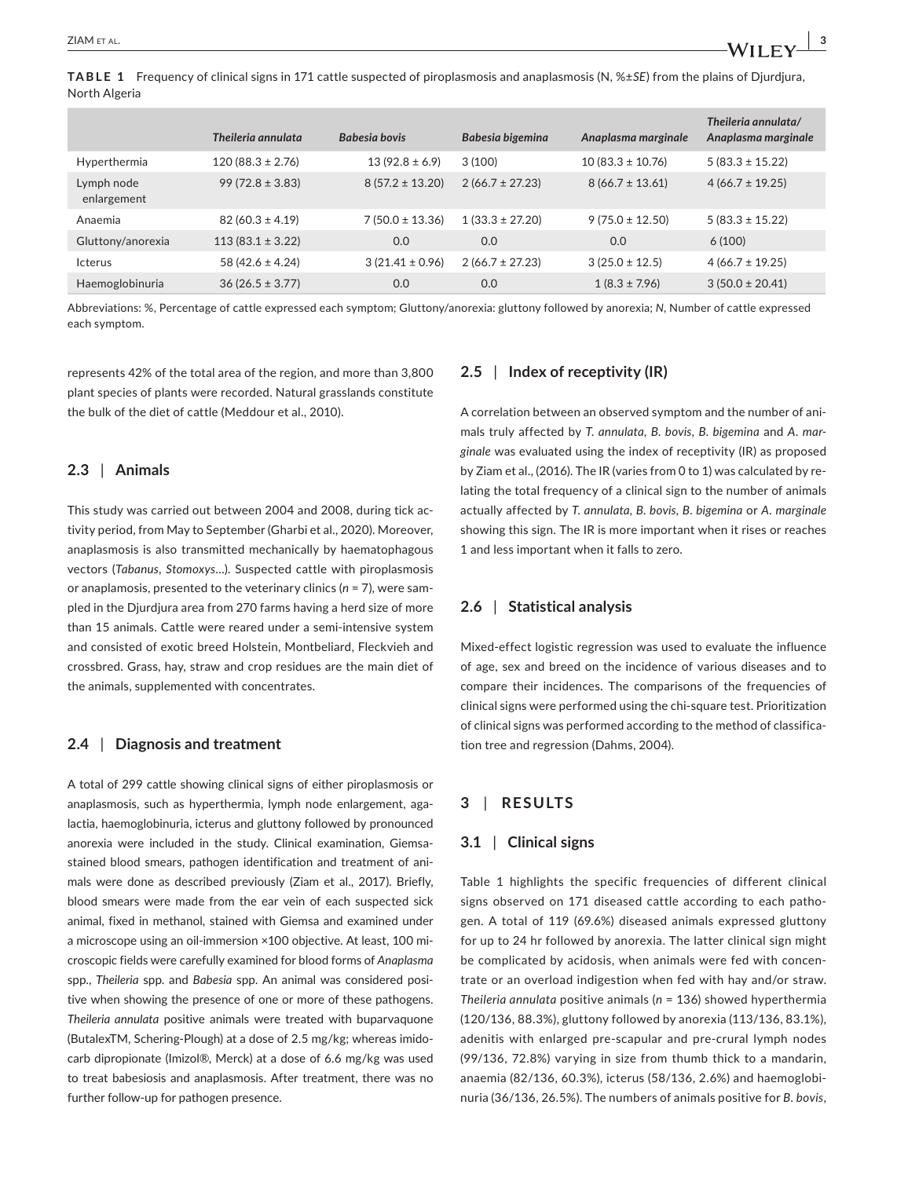**TABLE 1** Frequency of clinical signs in 171 cattle suspected of piroplasmosis and anaplasmosis (N, %±*SE*) from the plains of Djurdjura, North Algeria

|                           | Theileria annulata   | Babesia bovis       | Babesia bigemina    | Anaplasma marginale  | Theileria annulata/<br>Anaplasma marginale |
|---------------------------|----------------------|---------------------|---------------------|----------------------|--------------------------------------------|
| Hyperthermia              | $120(88.3 \pm 2.76)$ | $13(92.8 \pm 6.9)$  | 3(100)              | $10(83.3 \pm 10.76)$ | $5(83.3 \pm 15.22)$                        |
| Lymph node<br>enlargement | $99(72.8 \pm 3.83)$  | $8(57.2 \pm 13.20)$ | $2(66.7 \pm 27.23)$ | $8(66.7 \pm 13.61)$  | $4(66.7 \pm 19.25)$                        |
| Anaemia                   | $82(60.3 \pm 4.19)$  | $7(50.0 \pm 13.36)$ | $1(33.3 \pm 27.20)$ | $9(75.0 \pm 12.50)$  | $5(83.3 \pm 15.22)$                        |
| Gluttony/anorexia         | $113(83.1 \pm 3.22)$ | 0.0                 | 0.0                 | 0.0                  | 6(100)                                     |
| Icterus                   | 58 (42.6 $\pm$ 4.24) | $3(21.41 \pm 0.96)$ | $2(66.7 \pm 27.23)$ | $3(25.0 \pm 12.5)$   | $4(66.7 \pm 19.25)$                        |
| Haemoglobinuria           | $36(26.5 \pm 3.77)$  | 0.0                 | 0.0                 | $1(8.3 \pm 7.96)$    | $3(50.0 \pm 20.41)$                        |

Abbreviations: %, Percentage of cattle expressed each symptom; Gluttony/anorexia: gluttony followed by anorexia; *N*, Number of cattle expressed each symptom.

represents 42% of the total area of the region, and more than 3,800 plant species of plants were recorded. Natural grasslands constitute the bulk of the diet of cattle (Meddour et al., 2010).

## **2.3** | **Animals**

This study was carried out between 2004 and 2008, during tick activity period, from May to September (Gharbi et al., 2020). Moreover, anaplasmosis is also transmitted mechanically by haematophagous vectors (*Tabanus*, *Stomoxys*…). Suspected cattle with piroplasmosis or anaplamosis, presented to the veterinary clinics (*n* = 7), were sampled in the Djurdjura area from 270 farms having a herd size of more than 15 animals. Cattle were reared under a semi-intensive system and consisted of exotic breed Holstein, Montbeliard, Fleckvieh and crossbred. Grass, hay, straw and crop residues are the main diet of the animals, supplemented with concentrates.

## **2.4** | **Diagnosis and treatment**

A total of 299 cattle showing clinical signs of either piroplasmosis or anaplasmosis, such as hyperthermia, lymph node enlargement, agalactia, haemoglobinuria, icterus and gluttony followed by pronounced anorexia were included in the study. Clinical examination, Giemsastained blood smears, pathogen identification and treatment of animals were done as described previously (Ziam et al., 2017). Briefly, blood smears were made from the ear vein of each suspected sick animal, fixed in methanol, stained with Giemsa and examined under a microscope using an oil-immersion ×100 objective. At least, 100 microscopic fields were carefully examined for blood forms of *Anaplasma* spp., *Theileria* spp. and *Babesia* spp. An animal was considered positive when showing the presence of one or more of these pathogens. *Theileria annulata* positive animals were treated with buparvaquone (ButalexTM, Schering-Plough) at a dose of 2.5 mg/kg; whereas imidocarb dipropionate (Imizol®, Merck) at a dose of 6.6 mg/kg was used to treat babesiosis and anaplasmosis. After treatment, there was no further follow-up for pathogen presence.

## **2.5** | **Index of receptivity (IR)**

A correlation between an observed symptom and the number of animals truly affected by *T. annulata*, *B. bovis*, *B. bigemina* and *A. marginale* was evaluated using the index of receptivity (IR) as proposed by Ziam et al., (2016). The IR (varies from 0 to 1) was calculated by relating the total frequency of a clinical sign to the number of animals actually affected by *T. annulata, B. bovis, B. bigemina* or *A. marginale* showing this sign. The IR is more important when it rises or reaches 1 and less important when it falls to zero.

## **2.6** | **Statistical analysis**

Mixed-effect logistic regression was used to evaluate the influence of age, sex and breed on the incidence of various diseases and to compare their incidences. The comparisons of the frequencies of clinical signs were performed using the chi-square test. Prioritization of clinical signs was performed according to the method of classification tree and regression (Dahms, 2004).

# **3** | **RESULTS**

#### **3.1** | **Clinical signs**

Table 1 highlights the specific frequencies of different clinical signs observed on 171 diseased cattle according to each pathogen. A total of 119 (69.6%) diseased animals expressed gluttony for up to 24 hr followed by anorexia. The latter clinical sign might be complicated by acidosis, when animals were fed with concentrate or an overload indigestion when fed with hay and/or straw. *Theileria annulata* positive animals (*n* = 136) showed hyperthermia (120/136, 88.3%), gluttony followed by anorexia (113/136, 83.1%), adenitis with enlarged pre-scapular and pre-crural lymph nodes (99/136, 72.8%) varying in size from thumb thick to a mandarin, anaemia (82/136, 60.3%), icterus (58/136, 2.6%) and haemoglobinuria (36/136, 26.5%). The numbers of animals positive for *B. bovis*,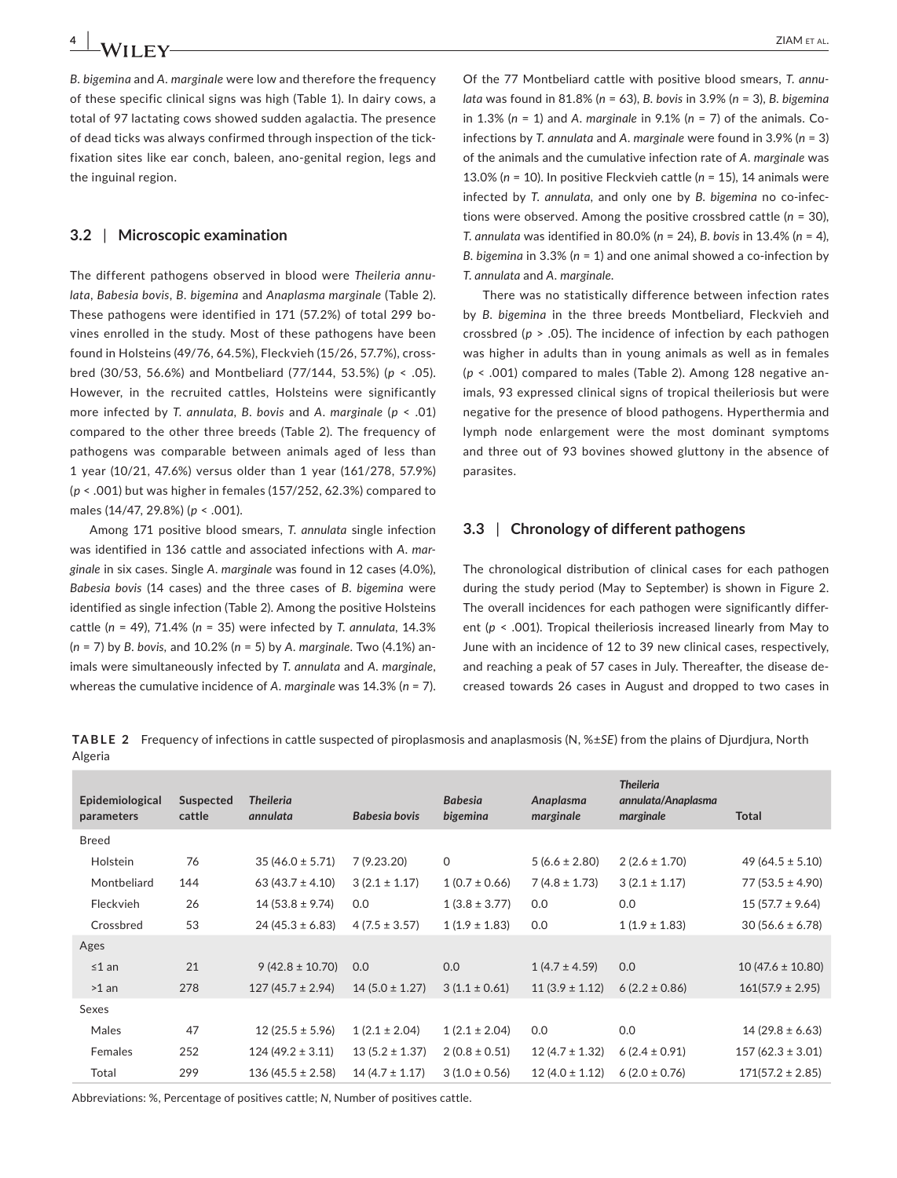*B. bigemina* and *A. marginale* were low and therefore the frequency of these specific clinical signs was high (Table 1). In dairy cows, a total of 97 lactating cows showed sudden agalactia. The presence of dead ticks was always confirmed through inspection of the tickfixation sites like ear conch, baleen, ano-genital region, legs and the inguinal region.

## **3.2** | **Microscopic examination**

The different pathogens observed in blood were *Theileria annulata*, *Babesia bovis*, *B. bigemina* and *Anaplasma marginale* (Table 2). These pathogens were identified in 171 (57.2%) of total 299 bovines enrolled in the study. Most of these pathogens have been found in Holsteins (49/76, 64.5%), Fleckvieh (15/26, 57.7%), crossbred (30/53, 56.6%) and Montbeliard (77/144, 53.5%) (*p* < .05). However, in the recruited cattles, Holsteins were significantly more infected by *T. annulata*, *B. bovis* and *A. marginale* (*p* < .01) compared to the other three breeds (Table 2). The frequency of pathogens was comparable between animals aged of less than 1 year (10/21, 47.6%) versus older than 1 year (161/278, 57.9%) (*p* < .001) but was higher in females (157/252, 62.3%) compared to males (14/47, 29.8%) (*p* < .001).

Among 171 positive blood smears, *T. annulata* single infection was identified in 136 cattle and associated infections with *A. marginale* in six cases. Single *A. marginale* was found in 12 cases (4.0%), *Babesia bovis* (14 cases) and the three cases of *B. bigemina* were identified as single infection (Table 2). Among the positive Holsteins cattle (*n* = 49), 71.4% (*n* = 35) were infected by *T. annulata*, 14.3% (*n* = 7) by *B. bovis,* and 10.2% (*n* = 5) by *A. marginale*. Two (4.1%) animals were simultaneously infected by *T. annulata* and *A. marginale*, whereas the cumulative incidence of *A. marginale* was 14.3% (*n* = 7).

Of the 77 Montbeliard cattle with positive blood smears, *T. annulata* was found in 81.8% (*n* = 63), *B. bovis* in 3.9% (*n* = 3), *B. bigemina* in 1.3% (*n* = 1) and *A. marginale* in 9.1% (*n* = 7) of the animals. Coinfections by *T. annulata* and *A. marginale* were found in 3.9% (*n* = 3) of the animals and the cumulative infection rate of *A. marginale* was 13.0% (*n* = 10). In positive Fleckvieh cattle (*n* = 15), 14 animals were infected by *T. annulata*, and only one by *B. bigemina* no co-infections were observed. Among the positive crossbred cattle (*n* = 30), *T. annulata* was identified in 80.0% (*n* = 24), *B. bovis* in 13.4% (*n* = 4), *B. bigemina* in 3.3% (*n* = 1) and one animal showed a co-infection by *T. annulata* and *A. marginale*.

There was no statistically difference between infection rates by *B. bigemina* in the three breeds Montbeliard, Fleckvieh and crossbred (*p* > .05). The incidence of infection by each pathogen was higher in adults than in young animals as well as in females (*p* < .001) compared to males (Table 2). Among 128 negative animals, 93 expressed clinical signs of tropical theileriosis but were negative for the presence of blood pathogens. Hyperthermia and lymph node enlargement were the most dominant symptoms and three out of 93 bovines showed gluttony in the absence of parasites.

# **3.3** | **Chronology of different pathogens**

The chronological distribution of clinical cases for each pathogen during the study period (May to September) is shown in Figure 2. The overall incidences for each pathogen were significantly different (*p* < .001). Tropical theileriosis increased linearly from May to June with an incidence of 12 to 39 new clinical cases, respectively, and reaching a peak of 57 cases in July. Thereafter, the disease decreased towards 26 cases in August and dropped to two cases in

**TABLE 2** Frequency of infections in cattle suspected of piroplasmosis and anaplasmosis (N, %±*SE*) from the plains of Djurdjura, North Algeria

| Epidemiological<br>parameters | Suspected<br>cattle | <b>Theileria</b><br>annulata | Babesia bovis      | <b>Babesia</b><br>bigemina | Anaplasma<br>marginale | <b>Theileria</b><br>annulata/Anaplasma<br>marginale | <b>Total</b>         |
|-------------------------------|---------------------|------------------------------|--------------------|----------------------------|------------------------|-----------------------------------------------------|----------------------|
| <b>Breed</b>                  |                     |                              |                    |                            |                        |                                                     |                      |
| Holstein                      | 76                  | $35(46.0 \pm 5.71)$          | 7 (9.23.20)        | $\Omega$                   | $5(6.6 \pm 2.80)$      | $2(2.6 \pm 1.70)$                                   | $49(64.5 \pm 5.10)$  |
| Montbeliard                   | 144                 | $63(43.7 \pm 4.10)$          | $3(2.1 \pm 1.17)$  | $1(0.7 \pm 0.66)$          | $7(4.8 \pm 1.73)$      | $3(2.1 \pm 1.17)$                                   | $77(53.5 \pm 4.90)$  |
| <b>Fleckvieh</b>              | 26                  | $14(53.8 \pm 9.74)$          | 0.0                | $1(3.8 \pm 3.77)$          | 0.0                    | 0.0                                                 | $15(57.7 \pm 9.64)$  |
| Crossbred                     | 53                  | $24(45.3 \pm 6.83)$          | $4(7.5 \pm 3.57)$  | $1(1.9 \pm 1.83)$          | 0.0                    | $1(1.9 \pm 1.83)$                                   | $30(56.6 \pm 6.78)$  |
| Ages                          |                     |                              |                    |                            |                        |                                                     |                      |
| $≤1$ an                       | 21                  | $9(42.8 \pm 10.70)$          | 0.0                | 0.0                        | $1(4.7 \pm 4.59)$      | 0.0                                                 | $10(47.6 \pm 10.80)$ |
| $>1$ an                       | 278                 | $127(45.7 \pm 2.94)$         | $14(5.0 \pm 1.27)$ | $3(1.1 \pm 0.61)$          | $11(3.9 \pm 1.12)$     | $6(2.2 \pm 0.86)$                                   | $161(57.9 \pm 2.95)$ |
| Sexes                         |                     |                              |                    |                            |                        |                                                     |                      |
| Males                         | 47                  | $12(25.5 \pm 5.96)$          | $1(2.1 \pm 2.04)$  | $1(2.1 \pm 2.04)$          | 0.0                    | 0.0                                                 | $14(29.8 \pm 6.63)$  |
| Females                       | 252                 | $124(49.2 \pm 3.11)$         | $13(5.2 \pm 1.37)$ | $2(0.8 \pm 0.51)$          | $12(4.7 \pm 1.32)$     | $6(2.4 \pm 0.91)$                                   | $157(62.3 \pm 3.01)$ |
| Total                         | 299                 | $136(45.5 \pm 2.58)$         | $14(4.7 \pm 1.17)$ | $3(1.0 \pm 0.56)$          | $12(4.0 \pm 1.12)$     | $6(2.0 \pm 0.76)$                                   | $171(57.2 \pm 2.85)$ |

Abbreviations: %, Percentage of positives cattle; *N*, Number of positives cattle.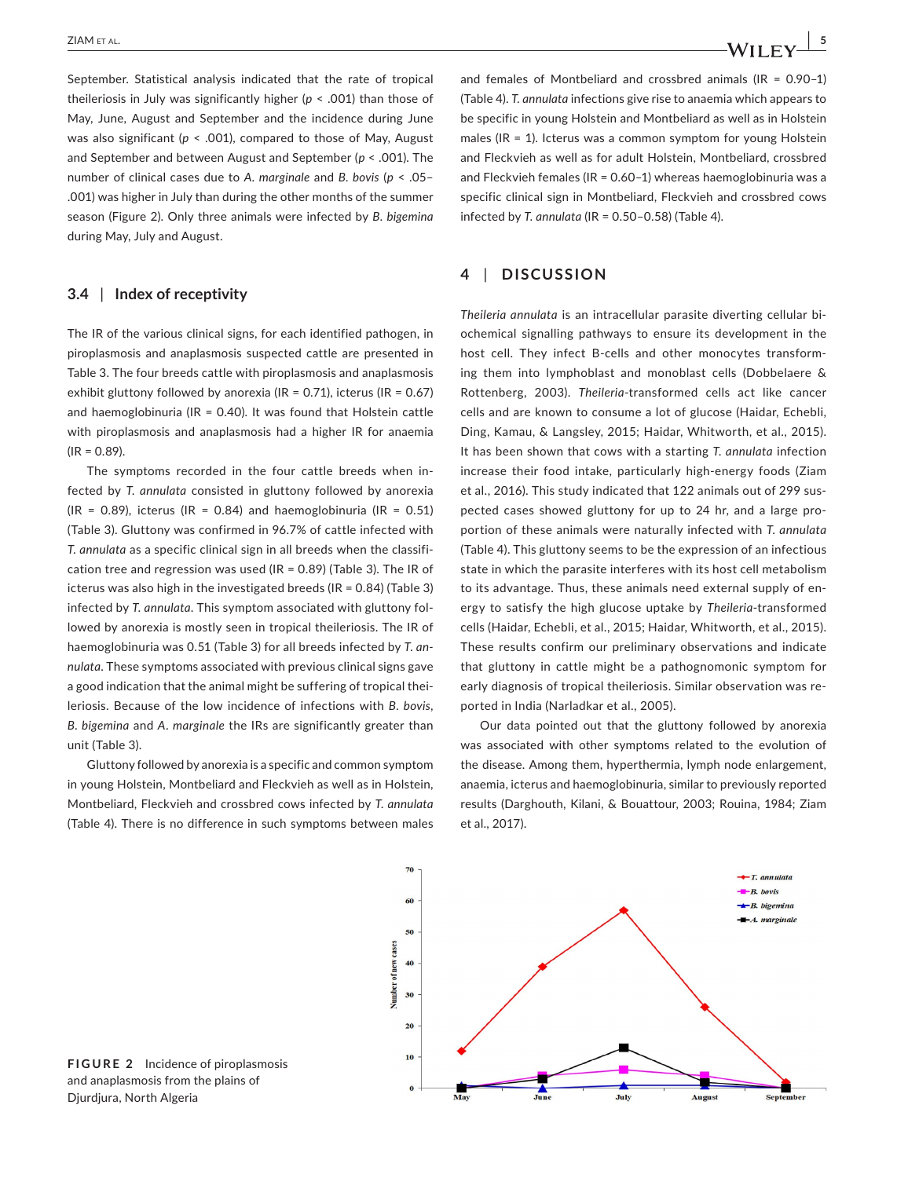September. Statistical analysis indicated that the rate of tropical theileriosis in July was significantly higher (*p* < .001) than those of May, June, August and September and the incidence during June was also significant (*p* < .001), compared to those of May, August and September and between August and September (*p* < .001). The number of clinical cases due to *A. marginale* and *B. bovis* (*p* < .05– .001) was higher in July than during the other months of the summer season (Figure 2). Only three animals were infected by *B. bigemina* during May, July and August.

### **3.4** | **Index of receptivity**

The IR of the various clinical signs, for each identified pathogen, in piroplasmosis and anaplasmosis suspected cattle are presented in Table 3. The four breeds cattle with piroplasmosis and anaplasmosis exhibit gluttony followed by anorexia (IR =  $0.71$ ), icterus (IR =  $0.67$ ) and haemoglobinuria ( $IR = 0.40$ ). It was found that Holstein cattle with piroplasmosis and anaplasmosis had a higher IR for anaemia  $(IR = 0.89)$ .

The symptoms recorded in the four cattle breeds when infected by *T. annulata* consisted in gluttony followed by anorexia  $(IR = 0.89)$ , icterus (IR = 0.84) and haemoglobinuria (IR = 0.51) (Table 3). Gluttony was confirmed in 96.7% of cattle infected with *T. annulata* as a specific clinical sign in all breeds when the classification tree and regression was used ( $IR = 0.89$ ) (Table 3). The IR of icterus was also high in the investigated breeds (IR = 0.84) (Table 3) infected by *T. annulata*. This symptom associated with gluttony followed by anorexia is mostly seen in tropical theileriosis. The IR of haemoglobinuria was 0.51 (Table 3) for all breeds infected by *T. annulata*. These symptoms associated with previous clinical signs gave a good indication that the animal might be suffering of tropical theileriosis. Because of the low incidence of infections with *B. bovis*, *B. bigemina* and *A. marginale* the IRs are significantly greater than unit (Table 3).

Gluttony followed by anorexia is a specific and common symptom in young Holstein, Montbeliard and Fleckvieh as well as in Holstein, Montbeliard, Fleckvieh and crossbred cows infected by *T. annulata* (Table 4). There is no difference in such symptoms between males

and females of Montbeliard and crossbred animals (IR = 0.90–1) (Table 4). *T. annulata* infections give rise to anaemia which appears to be specific in young Holstein and Montbeliard as well as in Holstein males (IR = 1). Icterus was a common symptom for young Holstein and Fleckvieh as well as for adult Holstein, Montbeliard, crossbred and Fleckvieh females (IR = 0.60–1) whereas haemoglobinuria was a specific clinical sign in Montbeliard, Fleckvieh and crossbred cows infected by *T. annulata* (IR = 0.50–0.58) (Table 4).

# **4** | **DISCUSSION**

*Theileria annulata* is an intracellular parasite diverting cellular biochemical signalling pathways to ensure its development in the host cell. They infect B-cells and other monocytes transforming them into lymphoblast and monoblast cells (Dobbelaere & Rottenberg, 2003). *Theileria*-transformed cells act like cancer cells and are known to consume a lot of glucose (Haidar, Echebli, Ding, Kamau, & Langsley, 2015; Haidar, Whitworth, et al., 2015). It has been shown that cows with a starting *T. annulata* infection increase their food intake, particularly high-energy foods (Ziam et al., 2016). This study indicated that 122 animals out of 299 suspected cases showed gluttony for up to 24 hr, and a large proportion of these animals were naturally infected with *T. annulata* (Table 4). This gluttony seems to be the expression of an infectious state in which the parasite interferes with its host cell metabolism to its advantage. Thus, these animals need external supply of energy to satisfy the high glucose uptake by *Theileria*-transformed cells (Haidar, Echebli, et al., 2015; Haidar, Whitworth, et al., 2015). These results confirm our preliminary observations and indicate that gluttony in cattle might be a pathognomonic symptom for early diagnosis of tropical theileriosis. Similar observation was reported in India (Narladkar et al., 2005).

Our data pointed out that the gluttony followed by anorexia was associated with other symptoms related to the evolution of the disease. Among them, hyperthermia, lymph node enlargement, anaemia, icterus and haemoglobinuria, similar to previously reported results (Darghouth, Kilani, & Bouattour, 2003; Rouina, 1984; Ziam et al., 2017).



**FIGURE 2** Incidence of piroplasmosis and anaplasmosis from the plains of Djurdjura, North Algeria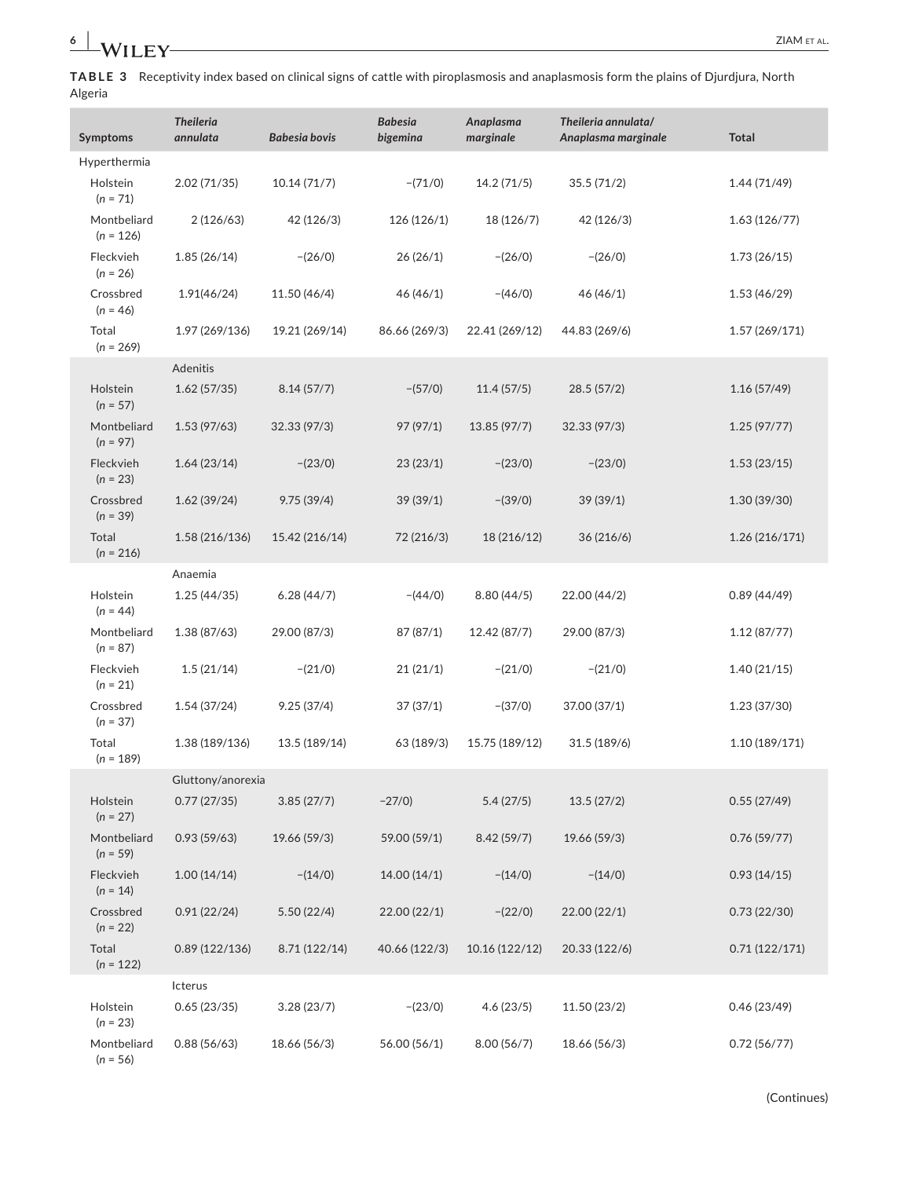**TABLE 3** Receptivity index based on clinical signs of cattle with piroplasmosis and anaplasmosis form the plains of Djurdjura, North Algeria

| Symptoms                   | <b>Theileria</b><br>annulata | <b>Babesia bovis</b> | <b>Babesia</b><br>bigemina | Anaplasma<br>marginale | Theileria annulata/<br>Anaplasma marginale | <b>Total</b>   |  |
|----------------------------|------------------------------|----------------------|----------------------------|------------------------|--------------------------------------------|----------------|--|
| Hyperthermia               |                              |                      |                            |                        |                                            |                |  |
| Holstein<br>$(n = 71)$     | 2.02(71/35)                  | 10.14(71/7)          | $-(71/0)$                  | 14.2 (71/5)            | 35.5(71/2)                                 | 1.44 (71/49)   |  |
| Montbeliard<br>$(n = 126)$ | 2(126/63)                    | 42 (126/3)           | 126 (126/1)                | 18 (126/7)             | 42 (126/3)                                 | 1.63(126/77)   |  |
| Fleckvieh<br>$(n = 26)$    | 1.85(26/14)                  | $-(26/0)$            | 26(26/1)                   | $-(26/0)$              | $-(26/0)$                                  | 1.73(26/15)    |  |
| Crossbred<br>$(n = 46)$    | 1.91(46/24)                  | 11.50 (46/4)         | 46(46/1)                   | $-(46/0)$              | 46 (46/1)                                  | 1.53(46/29)    |  |
| Total<br>$(n = 269)$       | 1.97 (269/136)               | 19.21 (269/14)       | 86.66 (269/3)              | 22.41 (269/12)         | 44.83 (269/6)                              | 1.57(269/171)  |  |
|                            | Adenitis                     |                      |                            |                        |                                            |                |  |
| Holstein<br>$(n = 57)$     | 1.62(57/35)                  | 8.14(57/7)           | $-(57/0)$                  | 11.4(57/5)             | 28.5(57/2)                                 | 1.16(57/49)    |  |
| Montbeliard<br>$(n = 97)$  | 1.53 (97/63)                 | 32.33 (97/3)         | 97 (97/1)                  | 13.85 (97/7)           | 32.33 (97/3)                               | 1.25(97/77)    |  |
| Fleckvieh<br>$(n = 23)$    | 1.64(23/14)                  | $-(23/0)$            | 23(23/1)                   | $-(23/0)$              | $-(23/0)$                                  | 1.53(23/15)    |  |
| Crossbred<br>$(n = 39)$    | 1.62(39/24)                  | 9.75(39/4)           | 39 (39/1)                  | $-(39/0)$              | 39(39/1)                                   | 1.30 (39/30)   |  |
| Total<br>$(n = 216)$       | 1.58 (216/136)               | 15.42 (216/14)       | 72 (216/3)                 | 18 (216/12)            | 36 (216/6)                                 | 1.26 (216/171) |  |
|                            | Anaemia                      |                      |                            |                        |                                            |                |  |
| Holstein<br>$(n = 44)$     | 1.25(44/35)                  | 6.28(44/7)           | $-(44/0)$                  | 8.80(44/5)             | 22.00 (44/2)                               | 0.89(44/49)    |  |
| Montbeliard<br>$(n = 87)$  | 1.38 (87/63)                 | 29.00 (87/3)         | 87 (87/1)                  | 12.42 (87/7)           | 29.00 (87/3)                               | 1.12(87/77)    |  |
| Fleckvieh<br>$(n = 21)$    | 1.5(21/14)                   | $-(21/0)$            | 21(21/1)                   | $-(21/0)$              | $-(21/0)$                                  | 1.40(21/15)    |  |
| Crossbred<br>$(n = 37)$    | 1.54(37/24)                  | 9.25(37/4)           | 37(37/1)                   | $-(37/0)$              | 37.00 (37/1)                               | 1.23 (37/30)   |  |
| Total<br>$(n = 189)$       | 1.38 (189/136)               | 13.5 (189/14)        | 63 (189/3)                 | 15.75 (189/12)         | 31.5 (189/6)                               | 1.10 (189/171) |  |
|                            | Gluttony/anorexia            |                      |                            |                        |                                            |                |  |
| Holstein<br>$(n = 27)$     | 0.77(27/35)                  | 3.85(27/7)           | $-27/0$ )                  | 5.4(27/5)              | 13.5(27/2)                                 | 0.55(27/49)    |  |
| Montbeliard<br>$(n = 59)$  | 0.93(59/63)                  | 19.66 (59/3)         | 59.00 (59/1)               | 8.42(59/7)             | 19.66 (59/3)                               | 0.76(59/77)    |  |
| Fleckvieh<br>$(n = 14)$    | 1.00(14/14)                  | $-(14/0)$            | 14.00 (14/1)               | $-(14/0)$              | $-(14/0)$                                  | 0.93(14/15)    |  |
| Crossbred<br>$(n = 22)$    | 0.91(22/24)                  | 5.50(22/4)           | 22.00 (22/1)               | $-(22/0)$              | 22.00(22/1)                                | 0.73(22/30)    |  |
| Total<br>$(n = 122)$       | 0.89(122/136)                | 8.71 (122/14)        | 40.66 (122/3)              | 10.16 (122/12)         | 20.33 (122/6)                              | 0.71(122/171)  |  |
|                            | Icterus                      |                      |                            |                        |                                            |                |  |
| Holstein<br>$(n = 23)$     | 0.65(23/35)                  | 3.28(23/7)           | $-(23/0)$                  | 4.6(23/5)              | 11.50 (23/2)                               | 0.46(23/49)    |  |
| Montbeliard<br>$(n = 56)$  | 0.88(56/63)                  | 18.66 (56/3)         | 56.00 (56/1)               | 8.00(56/7)             | 18.66 (56/3)                               | 0.72(56/77)    |  |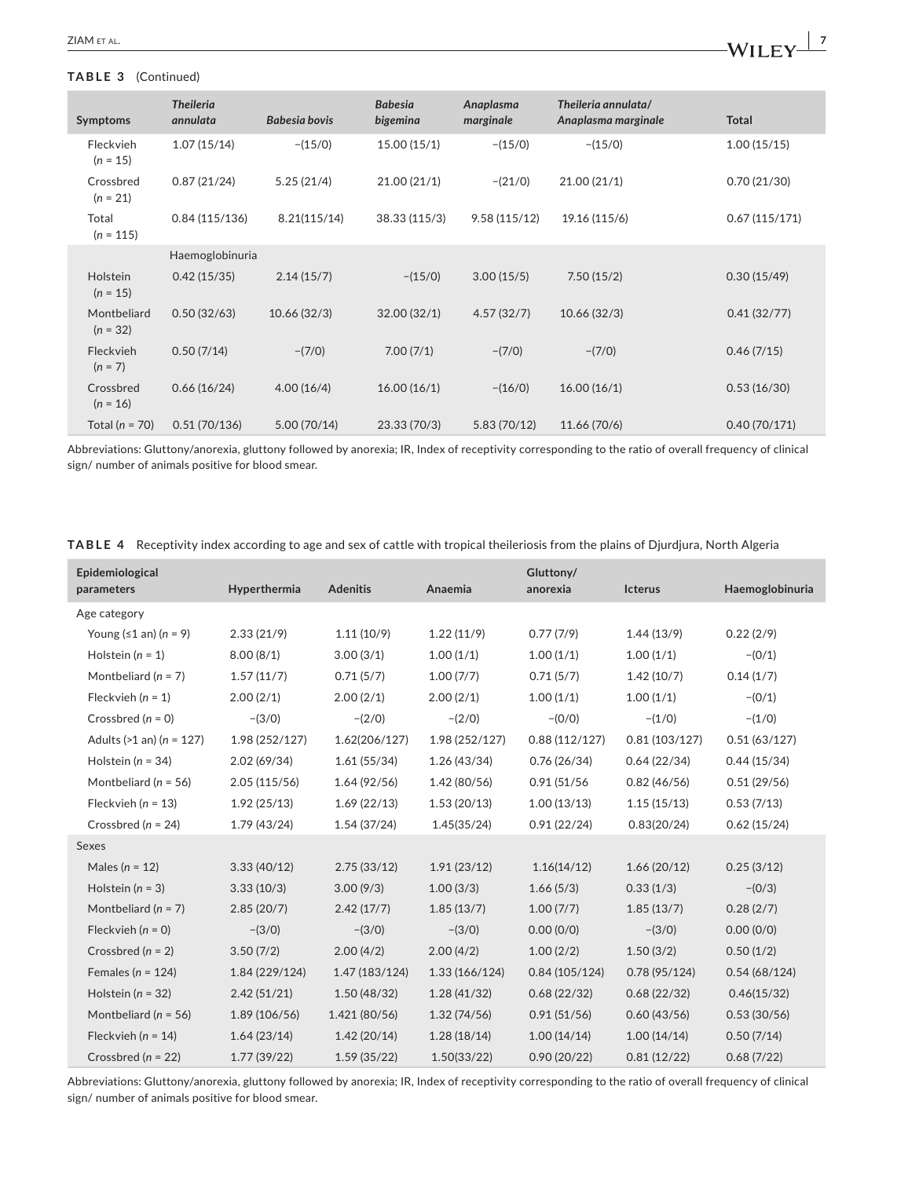## **TABLE 3** (Continued)

| Symptoms                  | <b>Theileria</b><br>annulata | Babesia bovis | <b>Babesia</b><br>bigemina | Anaplasma<br>marginale | Theileria annulata/<br>Anaplasma marginale | <b>Total</b>  |
|---------------------------|------------------------------|---------------|----------------------------|------------------------|--------------------------------------------|---------------|
| Fleckvieh<br>$(n = 15)$   | 1.07(15/14)                  | $-(15/0)$     | 15.00(15/1)                | $-(15/0)$              | $-(15/0)$                                  | 1.00(15/15)   |
| Crossbred<br>$(n = 21)$   | 0.87(21/24)                  | 5.25(21/4)    | 21.00(21/1)                | $-(21/0)$              | 21.00(21/1)                                | 0.70(21/30)   |
| Total<br>$(n = 115)$      | 0.84(115/136)                | 8.21(115/14)  | 38.33 (115/3)              | 9.58(115/12)           | 19.16 (115/6)                              | 0.67(115/171) |
|                           | Haemoglobinuria              |               |                            |                        |                                            |               |
| Holstein<br>$(n = 15)$    | 0.42(15/35)                  | 2.14(15/7)    | $-(15/0)$                  | 3.00(15/5)             | 7.50(15/2)                                 | 0.30(15/49)   |
| Montbeliard<br>$(n = 32)$ | 0.50(32/63)                  | 10.66(32/3)   | 32.00(32/1)                | 4.57(32/7)             | 10.66(32/3)                                | 0.41(32/77)   |
| Fleckvieh<br>$(n = 7)$    | 0.50(7/14)                   | $-(7/0)$      | 7.00(7/1)                  | $-(7/0)$               | $-(7/0)$                                   | 0.46(7/15)    |
| Crossbred<br>$(n = 16)$   | 0.66(16/24)                  | 4.00(16/4)    | 16.00(16/1)                | $-(16/0)$              | 16.00(16/1)                                | 0.53(16/30)   |
| Total ( $n = 70$ )        | 0.51(70/136)                 | 5.00(70/14)   | 23.33(70/3)                | 5.83(70/12)            | 11.66 (70/6)                               | 0.40(70/171)  |

Abbreviations: Gluttony/anorexia, gluttony followed by anorexia; IR, Index of receptivity corresponding to the ratio of overall frequency of clinical sign/ number of animals positive for blood smear.

|  |  |  | TABLE 4 Receptivity index according to age and sex of cattle with tropical theileriosis from the plains of Djurdjura, North Algeria |  |  |
|--|--|--|-------------------------------------------------------------------------------------------------------------------------------------|--|--|
|--|--|--|-------------------------------------------------------------------------------------------------------------------------------------|--|--|

| Epidemiological<br>parameters   | Hyperthermia   | <b>Adenitis</b> | Anaemia        | Gluttony/<br>anorexia | Icterus       | Haemoglobinuria |
|---------------------------------|----------------|-----------------|----------------|-----------------------|---------------|-----------------|
| Age category                    |                |                 |                |                       |               |                 |
| Young $(≤1$ an) $(n = 9)$       | 2.33(21/9)     | 1.11(10/9)      | 1.22(11/9)     | 0.77(7/9)             | 1.44(13/9)    | 0.22(2/9)       |
| Holstein $(n = 1)$              | 8.00(8/1)      | 3.00(3/1)       | 1.00(1/1)      | 1.00(1/1)             | 1.00(1/1)     | $-(0/1)$        |
| Montbeliard ( $n = 7$ )         | 1.57(11/7)     | 0.71(5/7)       | 1.00(7/7)      | 0.71(5/7)             | 1.42(10/7)    | 0.14(1/7)       |
| Fleckvieh $(n = 1)$             | 2.00(2/1)      | 2.00(2/1)       | 2.00(2/1)      | 1.00(1/1)             | 1.00(1/1)     | $-(0/1)$        |
| Crossbred $(n = 0)$             | $-(3/0)$       | $-(2/0)$        | $-(2/0)$       | $-(0/0)$              | $-(1/0)$      | $-(1/0)$        |
| Adults ( $>1$ an) ( $n = 127$ ) | 1.98 (252/127) | 1.62(206/127)   | 1.98 (252/127) | 0.88(112/127)         | 0.81(103/127) | 0.51(63/127)    |
| Holstein ( $n = 34$ )           | 2.02(69/34)    | 1.61(55/34)     | 1.26(43/34)    | 0.76(26/34)           | 0.64(22/34)   | 0.44(15/34)     |
| Montbeliard ( $n = 56$ )        | 2.05(115/56)   | 1.64(92/56)     | 1.42(80/56)    | 0.91(51/56)           | 0.82(46/56)   | 0.51(29/56)     |
| Fleckvieh ( $n = 13$ )          | 1.92(25/13)    | 1.69(22/13)     | 1.53(20/13)    | 1.00(13/13)           | 1.15(15/13)   | 0.53(7/13)      |
| Crossbred ( $n = 24$ )          | 1.79(43/24)    | 1.54(37/24)     | 1.45(35/24)    | 0.91(22/24)           | 0.83(20/24)   | 0.62(15/24)     |
| Sexes                           |                |                 |                |                       |               |                 |
| Males ( $n = 12$ )              | 3.33(40/12)    | 2.75(33/12)     | 1.91(23/12)    | 1.16(14/12)           | 1.66(20/12)   | 0.25(3/12)      |
| Holstein ( $n = 3$ )            | 3.33(10/3)     | 3.00(9/3)       | 1.00(3/3)      | 1.66(5/3)             | 0.33(1/3)     | $-(0/3)$        |
| Montbeliard ( $n = 7$ )         | 2.85(20/7)     | 2.42(17/7)      | 1.85(13/7)     | 1.00(7/7)             | 1.85(13/7)    | 0.28(2/7)       |
| Fleckvieh $(n = 0)$             | $-(3/0)$       | $-(3/0)$        | $-(3/0)$       | 0.00(0/0)             | $-(3/0)$      | 0.00(0/0)       |
| Crossbred ( $n = 2$ )           | 3.50(7/2)      | 2.00(4/2)       | 2.00(4/2)      | 1.00(2/2)             | 1.50(3/2)     | 0.50(1/2)       |
| Females ( $n = 124$ )           | 1.84 (229/124) | 1.47 (183/124)  | 1.33(166/124)  | 0.84(105/124)         | 0.78(95/124)  | 0.54(68/124)    |
| Holstein ( $n = 32$ )           | 2.42(51/21)    | 1.50(48/32)     | 1.28(41/32)    | 0.68(22/32)           | 0.68(22/32)   | 0.46(15/32)     |
| Montbeliard ( $n = 56$ )        | 1.89 (106/56)  | 1.421 (80/56)   | 1.32(74/56)    | 0.91(51/56)           | 0.60(43/56)   | 0.53(30/56)     |
| Fleckvieh ( $n = 14$ )          | 1.64(23/14)    | 1.42(20/14)     | 1.28(18/14)    | 1.00(14/14)           | 1.00(14/14)   | 0.50(7/14)      |
| Crossbred ( $n = 22$ )          | 1.77(39/22)    | 1.59(35/22)     | 1.50(33/22)    | 0.90(20/22)           | 0.81(12/22)   | 0.68(7/22)      |

Abbreviations: Gluttony/anorexia, gluttony followed by anorexia; IR, Index of receptivity corresponding to the ratio of overall frequency of clinical sign/ number of animals positive for blood smear.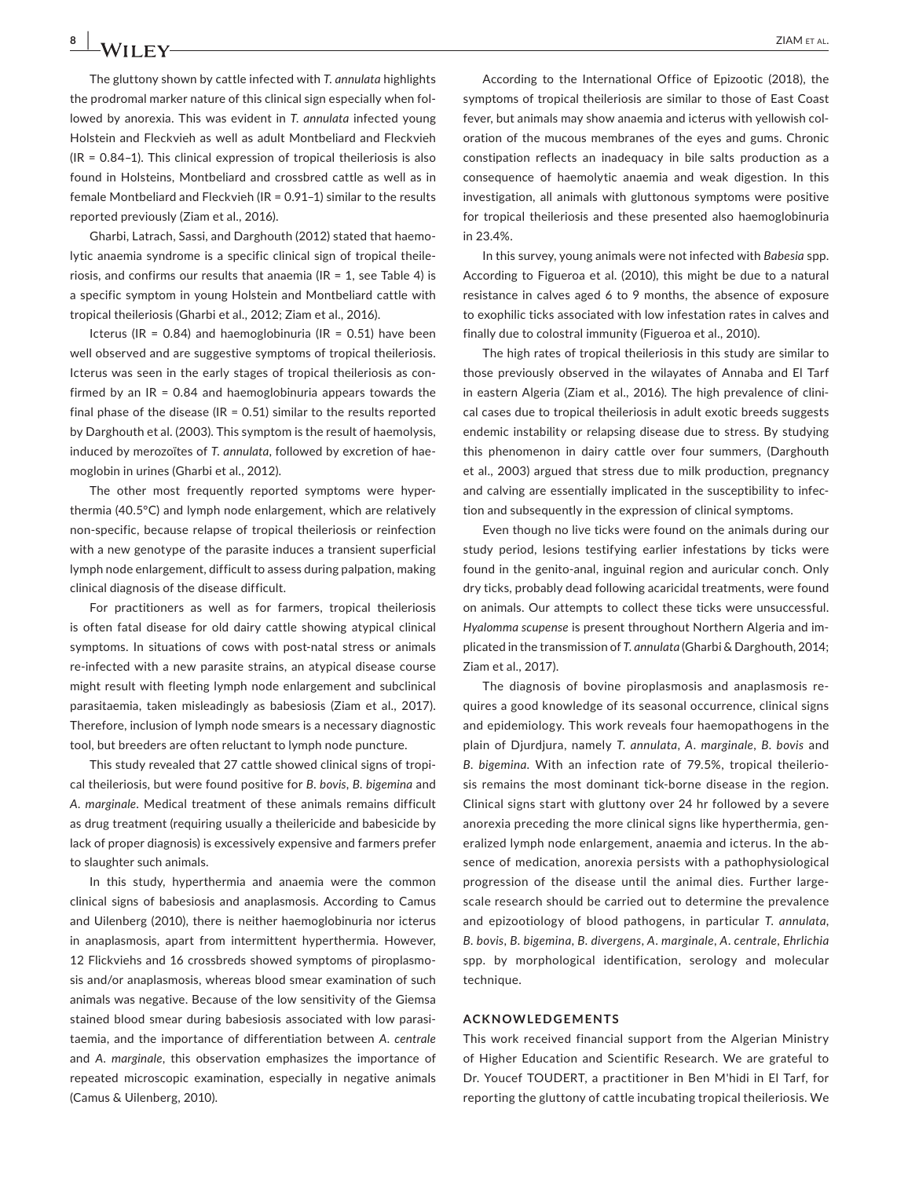**8 | 14/11 CV** *ZIAM ET AL.* The gluttony shown by cattle infected with *T. annulata* highlights the prodromal marker nature of this clinical sign especially when followed by anorexia. This was evident in *T. annulata* infected young Holstein and Fleckvieh as well as adult Montbeliard and Fleckvieh (IR = 0.84–1). This clinical expression of tropical theileriosis is also found in Holsteins, Montbeliard and crossbred cattle as well as in female Montbeliard and Fleckvieh (IR = 0.91–1) similar to the results

reported previously (Ziam et al., 2016).

Gharbi, Latrach, Sassi, and Darghouth (2012) stated that haemolytic anaemia syndrome is a specific clinical sign of tropical theileriosis, and confirms our results that anaemia ( $IR = 1$ , see Table 4) is a specific symptom in young Holstein and Montbeliard cattle with tropical theileriosis (Gharbi et al., 2012; Ziam et al., 2016).

Icterus (IR =  $0.84$ ) and haemoglobinuria (IR =  $0.51$ ) have been well observed and are suggestive symptoms of tropical theileriosis. Icterus was seen in the early stages of tropical theileriosis as confirmed by an  $IR = 0.84$  and haemoglobinuria appears towards the final phase of the disease ( $IR = 0.51$ ) similar to the results reported by Darghouth et al. (2003). This symptom is the result of haemolysis, induced by merozoïtes of *T. annulata*, followed by excretion of haemoglobin in urines (Gharbi et al., 2012).

The other most frequently reported symptoms were hyperthermia (40.5°C) and lymph node enlargement, which are relatively non-specific, because relapse of tropical theileriosis or reinfection with a new genotype of the parasite induces a transient superficial lymph node enlargement, difficult to assess during palpation, making clinical diagnosis of the disease difficult.

For practitioners as well as for farmers, tropical theileriosis is often fatal disease for old dairy cattle showing atypical clinical symptoms. In situations of cows with post-natal stress or animals re-infected with a new parasite strains, an atypical disease course might result with fleeting lymph node enlargement and subclinical parasitaemia, taken misleadingly as babesiosis (Ziam et al., 2017). Therefore, inclusion of lymph node smears is a necessary diagnostic tool, but breeders are often reluctant to lymph node puncture.

This study revealed that 27 cattle showed clinical signs of tropical theileriosis, but were found positive for *B. bovis*, *B. bigemina* and *A. marginale*. Medical treatment of these animals remains difficult as drug treatment (requiring usually a theilericide and babesicide by lack of proper diagnosis) is excessively expensive and farmers prefer to slaughter such animals.

In this study, hyperthermia and anaemia were the common clinical signs of babesiosis and anaplasmosis. According to Camus and Uilenberg (2010), there is neither haemoglobinuria nor icterus in anaplasmosis, apart from intermittent hyperthermia. However, 12 Flickviehs and 16 crossbreds showed symptoms of piroplasmosis and/or anaplasmosis, whereas blood smear examination of such animals was negative. Because of the low sensitivity of the Giemsa stained blood smear during babesiosis associated with low parasitaemia, and the importance of differentiation between *A. centrale* and *A. marginale*, this observation emphasizes the importance of repeated microscopic examination, especially in negative animals (Camus & Uilenberg, 2010).

According to the International Office of Epizootic (2018), the symptoms of tropical theileriosis are similar to those of East Coast fever, but animals may show anaemia and icterus with yellowish coloration of the mucous membranes of the eyes and gums. Chronic constipation reflects an inadequacy in bile salts production as a consequence of haemolytic anaemia and weak digestion. In this investigation, all animals with gluttonous symptoms were positive for tropical theileriosis and these presented also haemoglobinuria in 23.4%.

In this survey, young animals were not infected with *Babesia* spp. According to Figueroa et al. (2010), this might be due to a natural resistance in calves aged 6 to 9 months, the absence of exposure to exophilic ticks associated with low infestation rates in calves and finally due to colostral immunity (Figueroa et al., 2010).

The high rates of tropical theileriosis in this study are similar to those previously observed in the wilayates of Annaba and El Tarf in eastern Algeria (Ziam et al., 2016). The high prevalence of clinical cases due to tropical theileriosis in adult exotic breeds suggests endemic instability or relapsing disease due to stress. By studying this phenomenon in dairy cattle over four summers, (Darghouth et al., 2003) argued that stress due to milk production, pregnancy and calving are essentially implicated in the susceptibility to infection and subsequently in the expression of clinical symptoms.

Even though no live ticks were found on the animals during our study period, lesions testifying earlier infestations by ticks were found in the genito-anal, inguinal region and auricular conch. Only dry ticks, probably dead following acaricidal treatments, were found on animals. Our attempts to collect these ticks were unsuccessful. *Hyalomma scupense* is present throughout Northern Algeria and implicated in the transmission of *T. annulata* (Gharbi & Darghouth, 2014; Ziam et al., 2017).

The diagnosis of bovine piroplasmosis and anaplasmosis requires a good knowledge of its seasonal occurrence, clinical signs and epidemiology. This work reveals four haemopathogens in the plain of Djurdjura, namely *T. annulata*, *A. marginale*, *B. bovis* and *B. bigemina*. With an infection rate of 79.5%, tropical theileriosis remains the most dominant tick-borne disease in the region. Clinical signs start with gluttony over 24 hr followed by a severe anorexia preceding the more clinical signs like hyperthermia, generalized lymph node enlargement, anaemia and icterus. In the absence of medication, anorexia persists with a pathophysiological progression of the disease until the animal dies. Further largescale research should be carried out to determine the prevalence and epizootiology of blood pathogens, in particular *T. annulata*, *B. bovis*, *B. bigemina*, *B. divergens*, *A. marginale*, *A. centrale*, *Ehrlichia* spp. by morphological identification, serology and molecular technique.

## **ACKNOWLEDGEMENTS**

This work received financial support from the Algerian Ministry of Higher Education and Scientific Research. We are grateful to Dr. Youcef TOUDERT, a practitioner in Ben M'hidi in El Tarf, for reporting the gluttony of cattle incubating tropical theileriosis. We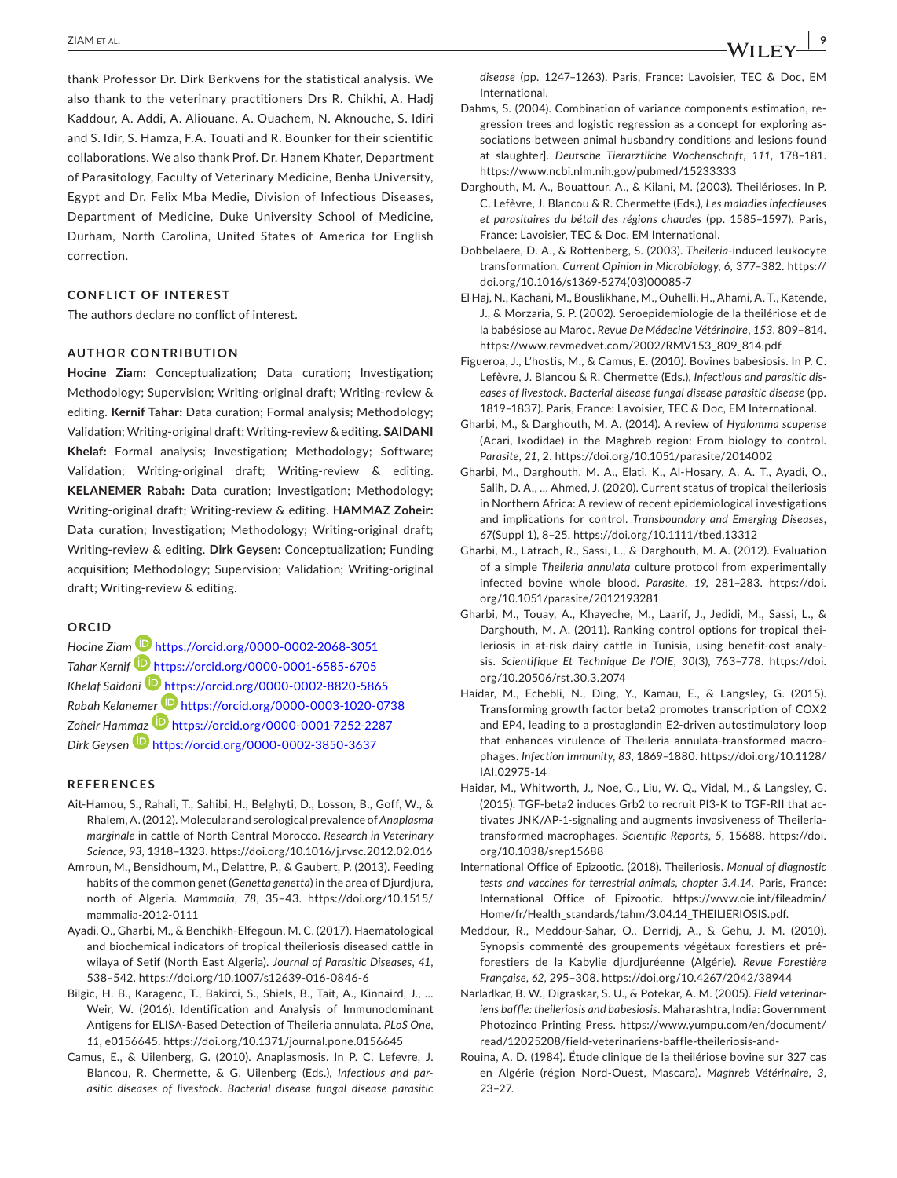thank Professor Dr. Dirk Berkvens for the statistical analysis. We also thank to the veterinary practitioners Drs R. Chikhi, A. Hadj Kaddour, A. Addi, A. Aliouane, A. Ouachem, N. Aknouche, S. Idiri and S. Idir, S. Hamza, F.A. Touati and R. Bounker for their scientific collaborations. We also thank Prof. Dr. Hanem Khater, Department of Parasitology, Faculty of Veterinary Medicine, Benha University, Egypt and Dr. Felix Mba Medie, Division of Infectious Diseases, Department of Medicine, Duke University School of Medicine, Durham, North Carolina, United States of America for English correction.

## **CONFLICT OF INTEREST**

The authors declare no conflict of interest.

### **AUTHOR CONTRIBUTION**

**Hocine Ziam:** Conceptualization; Data curation; Investigation; Methodology; Supervision; Writing-original draft; Writing-review & editing. **Kernif Tahar:** Data curation; Formal analysis; Methodology; Validation; Writing-original draft; Writing-review & editing. **SAIDANI Khelaf:** Formal analysis; Investigation; Methodology; Software; Validation; Writing-original draft; Writing-review & editing. **KELANEMER Rabah:** Data curation; Investigation; Methodology; Writing-original draft; Writing-review & editing. **HAMMAZ Zoheir:** Data curation; Investigation; Methodology; Writing-original draft; Writing-review & editing. **Dirk Geysen:** Conceptualization; Funding acquisition; Methodology; Supervision; Validation; Writing-original draft; Writing-review & editing.

#### **ORCID**

*Hocine Zia[m](https://orcid.org/0000-0001-6585-6705)* <https://orcid.org/0000-0002-2068-3051> *Tahar Kernif* <https://orcid.org/0000-0001-6585-6705> *Khelaf Saidani* <https://orcid.org/0000-0002-8820-5865> *Rabah Kelanem[er](https://orcid.org/0000-0001-7252-2287)* <https://orcid.org/0000-0003-1020-0738> Zoheir Ham[maz](https://orcid.org/0000-0002-3850-3637) **b** <https://orcid.org/0000-0001-7252-2287> *Dirk Geysen* <https://orcid.org/0000-0002-3850-3637>

#### **REFERENCES**

- Ait-Hamou, S., Rahali, T., Sahibi, H., Belghyti, D., Losson, B., Goff, W., & Rhalem, A. (2012). Molecular and serological prevalence of *Anaplasma marginale* in cattle of North Central Morocco. *Research in Veterinary Science*, *93*, 1318–1323. <https://doi.org/10.1016/j.rvsc.2012.02.016>
- Amroun, M., Bensidhoum, M., Delattre, P., & Gaubert, P. (2013). Feeding habits of the common genet (*Genetta genetta*) in the area of Djurdjura, north of Algeria. *Mammalia*, *78*, 35–43. [https://doi.org/10.1515/](https://doi.org/10.1515/mammalia-2012-0111) [mammalia-2012-0111](https://doi.org/10.1515/mammalia-2012-0111)
- Ayadi, O., Gharbi, M., & Benchikh-Elfegoun, M. C. (2017). Haematological and biochemical indicators of tropical theileriosis diseased cattle in wilaya of Setif (North East Algeria). *Journal of Parasitic Diseases*, *41*, 538–542.<https://doi.org/10.1007/s12639-016-0846-6>
- Bilgic, H. B., Karagenc, T., Bakirci, S., Shiels, B., Tait, A., Kinnaird, J., … Weir, W. (2016). Identification and Analysis of Immunodominant Antigens for ELISA-Based Detection of Theileria annulata. *PLoS One*, *11*, e0156645. <https://doi.org/10.1371/journal.pone.0156645>
- Camus, E., & Uilenberg, G. (2010). Anaplasmosis. In P. C. Lefevre, J. Blancou, R. Chermette, & G. Uilenberg (Eds.), *Infectious and parasitic diseases of livestock. Bacterial disease fungal disease parasitic*
- International. Dahms, S. (2004). Combination of variance components estimation, regression trees and logistic regression as a concept for exploring associations between animal husbandry conditions and lesions found at slaughter]. *Deutsche Tierarztliche Wochenschrift*, *111*, 178–181. <https://www.ncbi.nlm.nih.gov/pubmed/15233333>
- Darghouth, M. A., Bouattour, A., & Kilani, M. (2003). Theilérioses. In P. C. Lefèvre, J. Blancou & R. Chermette (Eds.), *Les maladies infectieuses et parasitaires du bétail des régions chaudes* (pp. 1585–1597). Paris, France: Lavoisier, TEC & Doc, EM International.
- Dobbelaere, D. A., & Rottenberg, S. (2003). *Theileria*-induced leukocyte transformation. *Current Opinion in Microbiology*, *6*, 377–382. [https://](https://doi.org/10.1016/s1369-5274(03)00085-7) [doi.org/10.1016/s1369-5274\(03\)00085-7](https://doi.org/10.1016/s1369-5274(03)00085-7)
- El Haj, N., Kachani, M., Bouslikhane, M., Ouhelli, H., Ahami, A. T., Katende, J., & Morzaria, S. P. (2002). Seroepidemiologie de la theilériose et de la babésiose au Maroc. *Revue De Médecine Vétérinaire*, *153*, 809–814. [https://www.revmedvet.com/2002/RMV153\\_809\\_814.pdf](https://www.revmedvet.com/2002/RMV153_809_814.pdf)
- Figueroa, J., L'hostis, M., & Camus, E. (2010). Bovines babesiosis. In P. C. Lefèvre, J. Blancou & R. Chermette (Eds.), *Infectious and parasitic diseases of livestock. Bacterial disease fungal disease parasitic disease* (pp. 1819–1837). Paris, France: Lavoisier, TEC & Doc, EM International.
- Gharbi, M., & Darghouth, M. A. (2014). A review of *Hyalomma scupense* (Acari, Ixodidae) in the Maghreb region: From biology to control. *Parasite*, *21*, 2. <https://doi.org/10.1051/parasite/2014002>
- Gharbi, M., Darghouth, M. A., Elati, K., Al-Hosary, A. A. T., Ayadi, O., Salih, D. A., … Ahmed, J. (2020). Current status of tropical theileriosis in Northern Africa: A review of recent epidemiological investigations and implications for control. *Transboundary and Emerging Diseases*, *67*(Suppl 1), 8–25. <https://doi.org/10.1111/tbed.13312>
- Gharbi, M., Latrach, R., Sassi, L., & Darghouth, M. A. (2012). Evaluation of a simple *Theileria annulata* culture protocol from experimentally infected bovine whole blood. *Parasite*, *19*, 281–283. [https://doi.](https://doi.org/10.1051/parasite/2012193281) [org/10.1051/parasite/2012193281](https://doi.org/10.1051/parasite/2012193281)
- Gharbi, M., Touay, A., Khayeche, M., Laarif, J., Jedidi, M., Sassi, L., & Darghouth, M. A. (2011). Ranking control options for tropical theileriosis in at-risk dairy cattle in Tunisia, using benefit-cost analysis. *Scientifique Et Technique De l'OIE*, *30*(3), 763–778. [https://doi.](https://doi.org/10.20506/rst.30.3.2074) [org/10.20506/rst.30.3.2074](https://doi.org/10.20506/rst.30.3.2074)
- Haidar, M., Echebli, N., Ding, Y., Kamau, E., & Langsley, G. (2015). Transforming growth factor beta2 promotes transcription of COX2 and EP4, leading to a prostaglandin E2-driven autostimulatory loop that enhances virulence of Theileria annulata-transformed macrophages. *Infection Immunity*, *83*, 1869–1880. [https://doi.org/10.1128/](https://doi.org/10.1128/IAI.02975-14) [IAI.02975-14](https://doi.org/10.1128/IAI.02975-14)
- Haidar, M., Whitworth, J., Noe, G., Liu, W. Q., Vidal, M., & Langsley, G. (2015). TGF-beta2 induces Grb2 to recruit PI3-K to TGF-RII that activates JNK/AP-1-signaling and augments invasiveness of Theileriatransformed macrophages. *Scientific Reports*, *5*, 15688. [https://doi.](https://doi.org/10.1038/srep15688) [org/10.1038/srep15688](https://doi.org/10.1038/srep15688)
- International Office of Epizootic. (2018). Theileriosis. *Manual of diagnostic tests and vaccines for terrestrial animals, chapter 3.4.14.* Paris, France: International Office of Epizootic. [https://www.oie.int/fileadmin/](https://www.oie.int/fileadmin/Home/fr/Health_standards/tahm/3.04.14_THEILIERIOSIS.pdf) [Home/fr/Health\\_standards/tahm/3.04.14\\_THEILIERIOSIS.pdf](https://www.oie.int/fileadmin/Home/fr/Health_standards/tahm/3.04.14_THEILIERIOSIS.pdf).
- Meddour, R., Meddour-Sahar, O., Derridj, A., & Gehu, J. M. (2010). Synopsis commenté des groupements végétaux forestiers et préforestiers de la Kabylie djurdjuréenne (Algérie). *Revue Forestière Française*, *62*, 295–308. <https://doi.org/10.4267/2042/38944>
- Narladkar, B. W., Digraskar, S. U., & Potekar, A. M. (2005). *Field veterinariens baffle: theileriosis and babesiosis*. Maharashtra, India: Government Photozinco Printing Press. [https://www.yumpu.com/en/document/](https://www.yumpu.com/en/document/read/12025208/field-veterinariens-baffle-theileriosis-and-) [read/12025208/field-veterinariens-baffle-theileriosis-and-](https://www.yumpu.com/en/document/read/12025208/field-veterinariens-baffle-theileriosis-and-)
- Rouina, A. D. (1984). Étude clinique de la theilériose bovine sur 327 cas en Algérie (région Nord-Ouest, Mascara). *Maghreb Vétérinaire*, *3*, 23–27.